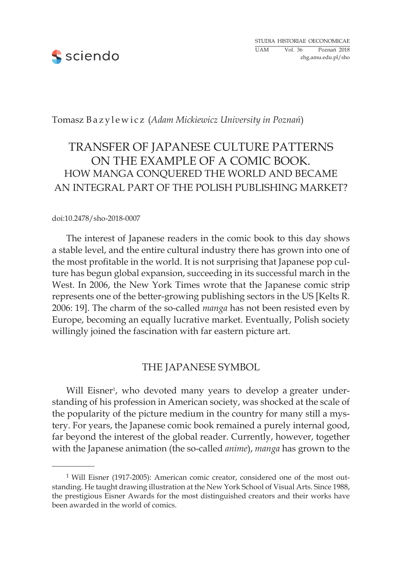

Tomasz Ba z y l e w i c z (*Adam Mickiewicz University in Poznań*)

# TRANSFER OF JAPANESE CULTURE PATTERNS ON THE EXAMPLE OF A COMIC BOOK. HOW MANGA CONQUERED THE WORLD AND BECAME AN INTEGRAL PART OF THE POLISH PUBLISHING MARKET?

#### doi:10.2478/sho-2018-0007

The interest of Japanese readers in the comic book to this day shows a stable level, and the entire cultural industry there has grown into one of the most profitable in the world. It is not surprising that Japanese pop culture has begun global expansion, succeeding in its successful march in the West. In 2006, the New York Times wrote that the Japanese comic strip represents one of the better-growing publishing sectors in the US [Kelts R. 2006: 19]. The charm of the so-called *manga* has not been resisted even by Europe, becoming an equally lucrative market. Eventually, Polish society willingly joined the fascination with far eastern picture art.

### THE JAPANESE SYMBOL

Will Eisner<sup>1</sup>, who devoted many years to develop a greater understanding of his profession in American society, was shocked at the scale of the popularity of the picture medium in the country for many still a mystery. For years, the Japanese comic book remained a purely internal good, far beyond the interest of the global reader. Currently, however, together with the Japanese animation (the so-called *anime*), *manga* has grown to the

<sup>1</sup> Will Eisner (1917-2005): American comic creator, considered one of the most outstanding. He taught drawing illustration at the New York School of Visual Arts. Since 1988, the prestigious Eisner Awards for the most distinguished creators and their works have been awarded in the world of comics.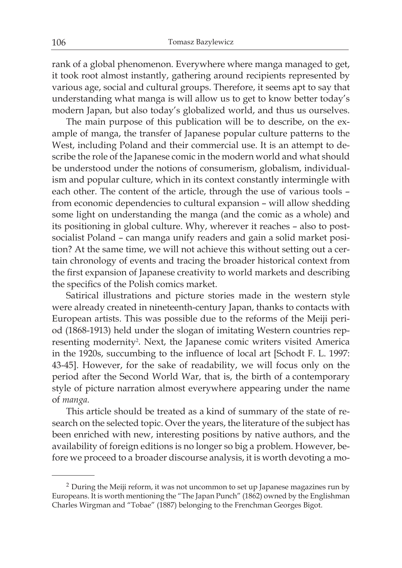rank of a global phenomenon. Everywhere where manga managed to get, it took root almost instantly, gathering around recipients represented by various age, social and cultural groups. Therefore, it seems apt to say that understanding what manga is will allow us to get to know better today's modern Japan, but also today's globalized world, and thus us ourselves.

The main purpose of this publication will be to describe, on the example of manga, the transfer of Japanese popular culture patterns to the West, including Poland and their commercial use. It is an attempt to describe the role of the Japanese comic in the modern world and what should be understood under the notions of consumerism, globalism, individualism and popular culture, which in its context constantly intermingle with each other. The content of the article, through the use of various tools – from economic dependencies to cultural expansion – will allow shedding some light on understanding the manga (and the comic as a whole) and its positioning in global culture. Why, wherever it reaches – also to postsocialist Poland – can manga unify readers and gain a solid market position? At the same time, we will not achieve this without setting out a certain chronology of events and tracing the broader historical context from the first expansion of Japanese creativity to world markets and describing the specifics of the Polish comics market.

Satirical illustrations and picture stories made in the western style were already created in nineteenth-century Japan, thanks to contacts with European artists. This was possible due to the reforms of the Meiji period (1868-1913) held under the slogan of imitating Western countries representing modernity<sup>2</sup>. Next, the Japanese comic writers visited America in the 1920s, succumbing to the influence of local art [Schodt F. L. 1997: 43-45]. However, for the sake of readability, we will focus only on the period after the Second World War, that is, the birth of a contemporary style of picture narration almost everywhere appearing under the name of *manga.*

This article should be treated as a kind of summary of the state of research on the selected topic. Over the years, the literature of the subject has been enriched with new, interesting positions by native authors, and the availability of foreign editions is no longer so big a problem. However, before we proceed to a broader discourse analysis, it is worth devoting a mo-

<sup>&</sup>lt;sup>2</sup> During the Meiji reform, it was not uncommon to set up Japanese magazines run by Europeans. It is worth mentioning the "The Japan Punch" (1862) owned by the Englishman Charles Wirgman and "Tobae" (1887) belonging to the Frenchman Georges Bigot.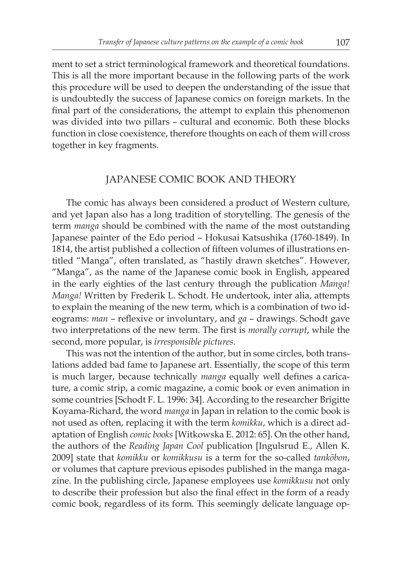ment to set a strict terminological framework and theoretical foundations. This is all the more important because in the following parts of the work this procedure will be used to deepen the understanding of the issue that is undoubtedly the success of Japanese comics on foreign markets. In the final part of the considerations, the attempt to explain this phenomenon was divided into two pillars – cultural and economic. Both these blocks function in close coexistence, therefore thoughts on each of them will cross together in key fragments.

#### Japanese comic book and theory

The comic has always been considered a product of Western culture, and yet Japan also has a long tradition of storytelling. The genesis of the term *manga* should be combined with the name of the most outstanding Japanese painter of the Edo period – Hokusai Katsushika (1760-1849). In 1814, the artist published a collection of fifteen volumes of illustrations entitled "Manga", often translated, as "hastily drawn sketches". However, "Manga", as the name of the Japanese comic book in English, appeared in the early eighties of the last century through the publication *Manga! Manga!* Written by Frederik L. Schodt. He undertook, inter alia, attempts to explain the meaning of the new term, which is a combination of two ideograms: *man* – reflexive or involuntary, and *ga* – drawings. Schodt gave two interpretations of the new term. The first is *morally corrupt*, while the second, more popular, is *irresponsible pictures*.

This was not the intention of the author, but in some circles, both translations added bad fame to Japanese art. Essentially, the scope of this term is much larger, because technically *manga* equally well defines a caricature, a comic strip, a comic magazine, a comic book or even animation in some countries [Schodt F. L. 1996: 34]. According to the researcher Brigitte Koyama-Richard, the word *manga* in Japan in relation to the comic book is not used as often, replacing it with the term *komikku*, which is a direct adaptation of English *comic books* [Witkowska E. 2012: 65]. On the other hand, the authors of the *Reading Japan Cool* publication [Ingulsrud E., Allen K. 2009] state that *komikku* or *komikkusu* is a term for the so-called *tankōbon*, or volumes that capture previous episodes published in the manga magazine. In the publishing circle, Japanese employees use *komikkusu* not only to describe their profession but also the final effect in the form of a ready comic book, regardless of its form. This seemingly delicate language op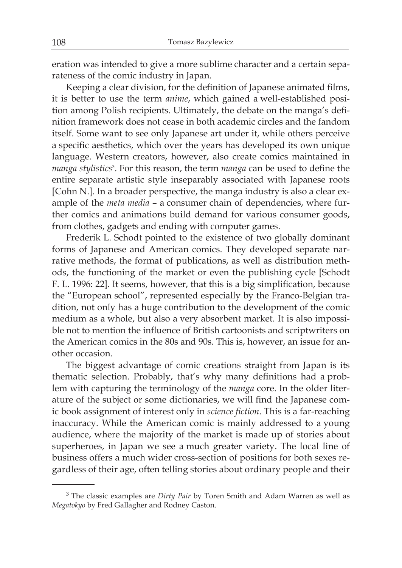eration was intended to give a more sublime character and a certain separateness of the comic industry in Japan.

Keeping a clear division, for the definition of Japanese animated films, it is better to use the term *anime*, which gained a well-established position among Polish recipients. Ultimately, the debate on the manga's definition framework does not cease in both academic circles and the fandom itself. Some want to see only Japanese art under it, while others perceive a specific aesthetics, which over the years has developed its own unique language. Western creators, however, also create comics maintained in *manga stylistics*<sup>3</sup> . For this reason, the term *manga* can be used to define the entire separate artistic style inseparably associated with Japanese roots [Cohn N.]. In a broader perspective, the manga industry is also a clear example of the *meta media* – a consumer chain of dependencies, where further comics and animations build demand for various consumer goods, from clothes, gadgets and ending with computer games.

Frederik L. Schodt pointed to the existence of two globally dominant forms of Japanese and American comics. They developed separate narrative methods, the format of publications, as well as distribution methods, the functioning of the market or even the publishing cycle [Schodt F. L. 1996: 22]. It seems, however, that this is a big simplification, because the "European school", represented especially by the Franco-Belgian tradition, not only has a huge contribution to the development of the comic medium as a whole, but also a very absorbent market. It is also impossible not to mention the influence of British cartoonists and scriptwriters on the American comics in the 80s and 90s. This is, however, an issue for another occasion.

The biggest advantage of comic creations straight from Japan is its thematic selection. Probably, that's why many definitions had a problem with capturing the terminology of the *manga* core. In the older literature of the subject or some dictionaries, we will find the Japanese comic book assignment of interest only in *science fiction*. This is a far-reaching inaccuracy. While the American comic is mainly addressed to a young audience, where the majority of the market is made up of stories about superheroes, in Japan we see a much greater variety. The local line of business offers a much wider cross-section of positions for both sexes regardless of their age, often telling stories about ordinary people and their

<sup>3</sup> The classic examples are *Dirty Pair* by Toren Smith and Adam Warren as well as *Megatokyo* by Fred Gallagher and Rodney Caston.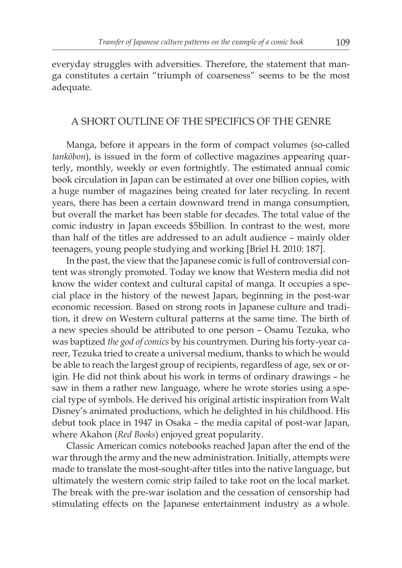everyday struggles with adversities. Therefore, the statement that manga constitutes a certain "triumph of coarseness" seems to be the most adequate.

### A SHORT OUTLINE OF THE SPECIFICS OF THE GENRE

Manga, before it appears in the form of compact volumes (so-called *tankōbon*), is issued in the form of collective magazines appearing quarterly, monthly, weekly or even fortnightly. The estimated annual comic book circulation in Japan can be estimated at over one billion copies, with a huge number of magazines being created for later recycling. In recent years, there has been a certain downward trend in manga consumption, but overall the market has been stable for decades. The total value of the comic industry in Japan exceeds \$5billion. In contrast to the west, more than half of the titles are addressed to an adult audience – mainly older teenagers, young people studying and working [Briel H. 2010: 187].

In the past, the view that the Japanese comic is full of controversial content was strongly promoted. Today we know that Western media did not know the wider context and cultural capital of manga. It occupies a special place in the history of the newest Japan, beginning in the post-war economic recession. Based on strong roots in Japanese culture and tradition, it drew on Western cultural patterns at the same time. The birth of a new species should be attributed to one person – Osamu Tezuka, who was baptized *the god of comics* by his countrymen. During his forty-year career, Tezuka tried to create a universal medium, thanks to which he would be able to reach the largest group of recipients, regardless of age, sex or origin. He did not think about his work in terms of ordinary drawings – he saw in them a rather new language, where he wrote stories using a special type of symbols. He derived his original artistic inspiration from Walt Disney's animated productions, which he delighted in his childhood. His debut took place in 1947 in Osaka – the media capital of post-war Japan, where Akahon (*Red Books*) enjoyed great popularity.

Classic American comics notebooks reached Japan after the end of the war through the army and the new administration. Initially, attempts were made to translate the most-sought-after titles into the native language, but ultimately the western comic strip failed to take root on the local market. The break with the pre-war isolation and the cessation of censorship had stimulating effects on the Japanese entertainment industry as a whole.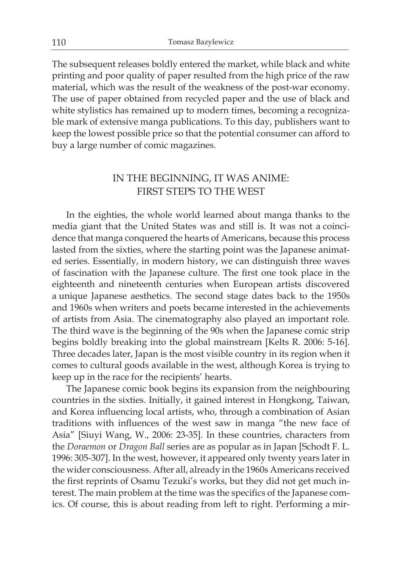The subsequent releases boldly entered the market, while black and white printing and poor quality of paper resulted from the high price of the raw material, which was the result of the weakness of the post-war economy. The use of paper obtained from recycled paper and the use of black and white stylistics has remained up to modern times, becoming a recognizable mark of extensive manga publications. To this day, publishers want to keep the lowest possible price so that the potential consumer can afford to buy a large number of comic magazines.

## In the beginning, it was Anime: first steps to the West

In the eighties, the whole world learned about manga thanks to the media giant that the United States was and still is. It was not a coincidence that manga conquered the hearts of Americans, because this process lasted from the sixties, where the starting point was the Japanese animated series. Essentially, in modern history, we can distinguish three waves of fascination with the Japanese culture. The first one took place in the eighteenth and nineteenth centuries when European artists discovered a unique Japanese aesthetics. The second stage dates back to the 1950s and 1960s when writers and poets became interested in the achievements of artists from Asia. The cinematography also played an important role. The third wave is the beginning of the 90s when the Japanese comic strip begins boldly breaking into the global mainstream [Kelts R. 2006: 5-16]. Three decades later, Japan is the most visible country in its region when it comes to cultural goods available in the west, although Korea is trying to keep up in the race for the recipients' hearts.

The Japanese comic book begins its expansion from the neighbouring countries in the sixties. Initially, it gained interest in Hongkong, Taiwan, and Korea influencing local artists, who, through a combination of Asian traditions with influences of the west saw in manga "the new face of Asia" [Siuyi Wang, W., 2006: 23-35]. In these countries, characters from the *Doraemon* or *Dragon Ball* series are as popular as in Japan [Schodt F. L. 1996: 305-307]. In the west, however, it appeared only twenty years later in the wider consciousness. After all, already in the 1960s Americans received the first reprints of Osamu Tezuki's works, but they did not get much interest. The main problem at the time was the specifics of the Japanese comics. Of course, this is about reading from left to right. Performing a mir-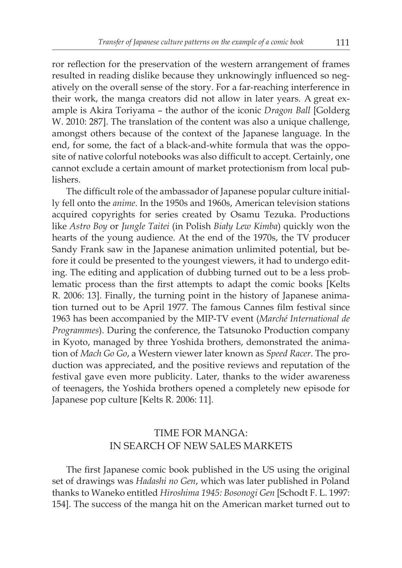ror reflection for the preservation of the western arrangement of frames resulted in reading dislike because they unknowingly influenced so negatively on the overall sense of the story. For a far-reaching interference in their work, the manga creators did not allow in later years. A great example is Akira Toriyama – the author of the iconic *Dragon Ball* [Golderg W. 2010: 287]. The translation of the content was also a unique challenge, amongst others because of the context of the Japanese language. In the end, for some, the fact of a black-and-white formula that was the opposite of native colorful notebooks was also difficult to accept. Certainly, one cannot exclude a certain amount of market protectionism from local publishers.

The difficult role of the ambassador of Japanese popular culture initially fell onto the *anime*. In the 1950s and 1960s, American television stations acquired copyrights for series created by Osamu Tezuka. Productions like *Astro Boy* or *Jungle Taitei* (in Polish *Biały Lew Kimba*) quickly won the hearts of the young audience. At the end of the 1970s, the TV producer Sandy Frank saw in the Japanese animation unlimited potential, but before it could be presented to the youngest viewers, it had to undergo editing. The editing and application of dubbing turned out to be a less problematic process than the first attempts to adapt the comic books [Kelts R. 2006: 13]. Finally, the turning point in the history of Japanese animation turned out to be April 1977. The famous Cannes film festival since 1963 has been accompanied by the MIP-TV event (*Marché International de Programmes*). During the conference, the Tatsunoko Production company in Kyoto, managed by three Yoshida brothers, demonstrated the animation of *Mach Go Go*, a Western viewer later known as *Speed Racer*. The production was appreciated, and the positive reviews and reputation of the festival gave even more publicity. Later, thanks to the wider awareness of teenagers, the Yoshida brothers opened a completely new episode for Japanese pop culture [Kelts R. 2006: 11].

### Time for manga: in search of new sales markets

The first Japanese comic book published in the US using the original set of drawings was *Hadashi no Gen*, which was later published in Poland thanks to Waneko entitled *Hiroshima 1945: Bosonogi Gen* [Schodt F. L. 1997: 154]. The success of the manga hit on the American market turned out to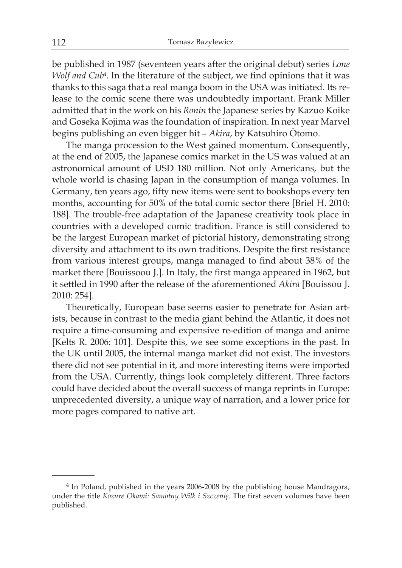be published in 1987 (seventeen years after the original debut) series *Lone Wolf and Cub*<sup>4</sup> . In the literature of the subject, we find opinions that it was thanks to this saga that a real manga boom in the USA was initiated. Its release to the comic scene there was undoubtedly important. Frank Miller admitted that in the work on his *Ronin* the Japanese series by Kazuo Koike and Goseka Kojima was the foundation of inspiration. In next year Marvel begins publishing an even bigger hit – *Akira*, by Katsuhiro Ōtomo.

The manga procession to the West gained momentum. Consequently, at the end of 2005, the Japanese comics market in the US was valued at an astronomical amount of USD 180 million. Not only Americans, but the whole world is chasing Japan in the consumption of manga volumes. In Germany, ten years ago, fifty new items were sent to bookshops every ten months, accounting for 50% of the total comic sector there [Briel H. 2010: 188]. The trouble-free adaptation of the Japanese creativity took place in countries with a developed comic tradition. France is still considered to be the largest European market of pictorial history, demonstrating strong diversity and attachment to its own traditions. Despite the first resistance from various interest groups, manga managed to find about 38% of the market there [Bouissoou J.]. In Italy, the first manga appeared in 1962, but it settled in 1990 after the release of the aforementioned *Akira* [Bouissou J. 2010: 254].

Theoretically, European base seems easier to penetrate for Asian artists, because in contrast to the media giant behind the Atlantic, it does not require a time-consuming and expensive re-edition of manga and anime [Kelts R. 2006: 101]. Despite this, we see some exceptions in the past. In the UK until 2005, the internal manga market did not exist. The investors there did not see potential in it, and more interesting items were imported from the USA. Currently, things look completely different. Three factors could have decided about the overall success of manga reprints in Europe: unprecedented diversity, a unique way of narration, and a lower price for more pages compared to native art.

<sup>&</sup>lt;sup>4</sup> In Poland, published in the years 2006-2008 by the publishing house Mandragora, under the title *Kozure Okami: Samotny Wilk i Szczenię*. The first seven volumes have been published.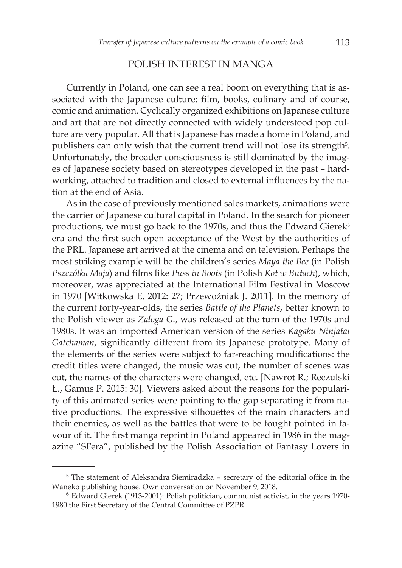#### Polish interest in Manga

Currently in Poland, one can see a real boom on everything that is associated with the Japanese culture: film, books, culinary and of course, comic and animation. Cyclically organized exhibitions on Japanese culture and art that are not directly connected with widely understood pop culture are very popular. All that is Japanese has made a home in Poland, and publishers can only wish that the current trend will not lose its strength<sup>5</sup>. Unfortunately, the broader consciousness is still dominated by the images of Japanese society based on stereotypes developed in the past – hardworking, attached to tradition and closed to external influences by the nation at the end of Asia.

As in the case of previously mentioned sales markets, animations were the carrier of Japanese cultural capital in Poland. In the search for pioneer productions, we must go back to the 1970s, and thus the Edward Gierek<sup>6</sup> era and the first such open acceptance of the West by the authorities of the PRL. Japanese art arrived at the cinema and on television. Perhaps the most striking example will be the children's series *Maya the Bee* (in Polish *Pszczółka Maja*) and films like *Puss in Boots* (in Polish *Kot w Butach*), which, moreover, was appreciated at the International Film Festival in Moscow in 1970 [Witkowska E. 2012: 27; Przewoźniak J. 2011]. In the memory of the current forty-year-olds, the series *Battle of the Planets*, better known to the Polish viewer as *Załoga G*., was released at the turn of the 1970s and 1980s. It was an imported American version of the series *Kagaku Ninjatai Gatchaman*, significantly different from its Japanese prototype. Many of the elements of the series were subject to far-reaching modifications: the credit titles were changed, the music was cut, the number of scenes was cut, the names of the characters were changed, etc. [Nawrot R.; Reczulski Ł., Gamus P. 2015: 30]. Viewers asked about the reasons for the popularity of this animated series were pointing to the gap separating it from native productions. The expressive silhouettes of the main characters and their enemies, as well as the battles that were to be fought pointed in favour of it. The first manga reprint in Poland appeared in 1986 in the magazine "SFera", published by the Polish Association of Fantasy Lovers in

<sup>5</sup> The statement of Aleksandra Siemiradzka – secretary of the editorial office in the Waneko publishing house. Own conversation on November 9, 2018.

<sup>6</sup> Edward Gierek (1913-2001): Polish politician, communist activist, in the years 1970- 1980 the First Secretary of the Central Committee of PZPR.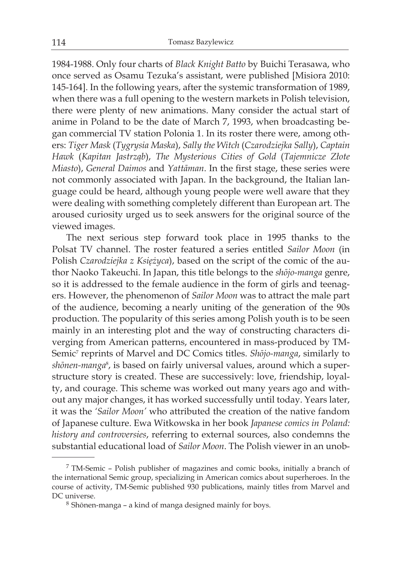1984-1988. Only four charts of *Black Knight Batto* by Buichi Terasawa, who once served as Osamu Tezuka's assistant, were published [Misiora 2010: 145-164]. In the following years, after the systemic transformation of 1989, when there was a full opening to the western markets in Polish television, there were plenty of new animations. Many consider the actual start of anime in Poland to be the date of March 7, 1993, when broadcasting began commercial TV station Polonia 1. In its roster there were, among others: *Tiger Mask* (*Tygrysia Maska*), *Sally the Witch* (*Czarodziejka Sally*), *Captain Hawk* (*Kapitan Jastrząb*), *The Mysterious Cities of Gold* (*Tajemnicze Złote Miasto*), *General Daimos* and *Yattāman*. In the first stage, these series were not commonly associated with Japan. In the background, the Italian language could be heard, although young people were well aware that they were dealing with something completely different than European art. The aroused curiosity urged us to seek answers for the original source of the viewed images.

The next serious step forward took place in 1995 thanks to the Polsat TV channel. The roster featured a series entitled *Sailor Moon* (in Polish *Czarodziejka z Księżyca*), based on the script of the comic of the author Naoko Takeuchi. In Japan, this title belongs to the *shōjo-manga* genre, so it is addressed to the female audience in the form of girls and teenagers. However, the phenomenon of *Sailor Moon* was to attract the male part of the audience, becoming a nearly uniting of the generation of the 90s production. The popularity of this series among Polish youth is to be seen mainly in an interesting plot and the way of constructing characters diverging from American patterns, encountered in mass-produced by TM-Semic<sup>7</sup> reprints of Marvel and DC Comics titles. *Shōjo-manga*, similarly to *shōnen-manga*<sup>8</sup> , is based on fairly universal values, around which a superstructure story is created. These are successively: love, friendship, loyalty, and courage. This scheme was worked out many years ago and without any major changes, it has worked successfully until today. Years later, it was the *'Sailor Moon'* who attributed the creation of the native fandom of Japanese culture. Ewa Witkowska in her book *Japanese comics in Poland: history and controversies*, referring to external sources, also condemns the substantial educational load of *Sailor Moon*. The Polish viewer in an unob-

<sup>7</sup> TM-Semic – Polish publisher of magazines and comic books, initially a branch of the international Semic group, specializing in American comics about superheroes. In the course of activity, TM-Semic published 930 publications, mainly titles from Marvel and DC universe.

<sup>8</sup> Shōnen-manga – a kind of manga designed mainly for boys.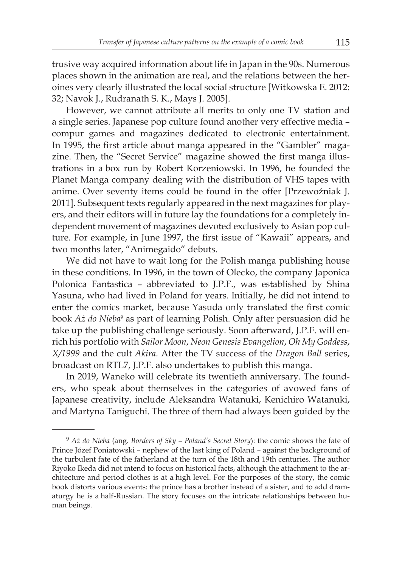trusive way acquired information about life in Japan in the 90s. Numerous places shown in the animation are real, and the relations between the heroines very clearly illustrated the local social structure [Witkowska E. 2012: 32; Navok J., Rudranath S. K., Mays J. 2005].

However, we cannot attribute all merits to only one TV station and a single series. Japanese pop culture found another very effective media – compur games and magazines dedicated to electronic entertainment. In 1995, the first article about manga appeared in the "Gambler" magazine. Then, the "Secret Service" magazine showed the first manga illustrations in a box run by Robert Korzeniowski. In 1996, he founded the Planet Manga company dealing with the distribution of VHS tapes with anime. Over seventy items could be found in the offer [Przewoźniak J. 2011]. Subsequent texts regularly appeared in the next magazines for players, and their editors will in future lay the foundations for a completely independent movement of magazines devoted exclusively to Asian pop culture. For example, in June 1997, the first issue of "Kawaii" appears, and two months later, "Animegaido" debuts.

We did not have to wait long for the Polish manga publishing house in these conditions. In 1996, in the town of Olecko, the company Japonica Polonica Fantastica – abbreviated to J.P.F., was established by Shina Yasuna, who had lived in Poland for years. Initially, he did not intend to enter the comics market, because Yasuda only translated the first comic book *Aż do Nieba*<sup>9</sup> as part of learning Polish. Only after persuasion did he take up the publishing challenge seriously. Soon afterward, J.P.F. will enrich his portfolio with *Sailor Moon*, *Neon Genesis Evangelion*, *Oh My Goddess*, *X/1999* and the cult *Akira*. After the TV success of the *Dragon Ball* series, broadcast on RTL7, J.P.F. also undertakes to publish this manga.

In 2019, Waneko will celebrate its twentieth anniversary. The founders, who speak about themselves in the categories of avowed fans of Japanese creativity, include Aleksandra Watanuki, Kenichiro Watanuki, and Martyna Taniguchi. The three of them had always been guided by the

<sup>9</sup> *Aż do Nieba* (ang. *Borders of Sky – Poland's Secret Story*): the comic shows the fate of Prince Józef Poniatowski – nephew of the last king of Poland – against the background of the turbulent fate of the fatherland at the turn of the 18th and 19th centuries. The author Riyoko Ikeda did not intend to focus on historical facts, although the attachment to the architecture and period clothes is at a high level. For the purposes of the story, the comic book distorts various events: the prince has a brother instead of a sister, and to add dramaturgy he is a half-Russian. The story focuses on the intricate relationships between human beings.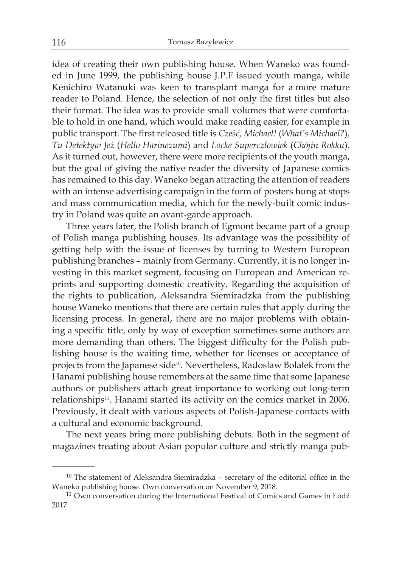idea of creating their own publishing house. When Waneko was founded in June 1999, the publishing house J.P.F issued youth manga, while Kenichiro Watanuki was keen to transplant manga for a more mature reader to Poland. Hence, the selection of not only the first titles but also their format. The idea was to provide small volumes that were comfortable to hold in one hand, which would make reading easier, for example in public transport. The first released title is *Cześć, Michael!* (*What's Michael?*)*, Tu Detektyw Jeż* (*Hello Harinezumi*) and *Locke Superczłowiek* (*Chōjin Rokku*). As it turned out, however, there were more recipients of the youth manga, but the goal of giving the native reader the diversity of Japanese comics has remained to this day. Waneko began attracting the attention of readers with an intense advertising campaign in the form of posters hung at stops and mass communication media, which for the newly-built comic industry in Poland was quite an avant-garde approach.

Three years later, the Polish branch of Egmont became part of a group of Polish manga publishing houses. Its advantage was the possibility of getting help with the issue of licenses by turning to Western European publishing branches – mainly from Germany. Currently, it is no longer investing in this market segment, focusing on European and American reprints and supporting domestic creativity. Regarding the acquisition of the rights to publication, Aleksandra Siemiradzka from the publishing house Waneko mentions that there are certain rules that apply during the licensing process. In general, there are no major problems with obtaining a specific title, only by way of exception sometimes some authors are more demanding than others. The biggest difficulty for the Polish publishing house is the waiting time, whether for licenses or acceptance of projects from the Japanese side<sup>10</sup>. Nevertheless, Radosław Bolałek from the Hanami publishing house remembers at the same time that some Japanese authors or publishers attach great importance to working out long-term relationships<sup>11</sup>. Hanami started its activity on the comics market in 2006. Previously, it dealt with various aspects of Polish-Japanese contacts with a cultural and economic background.

The next years bring more publishing debuts. Both in the segment of magazines treating about Asian popular culture and strictly manga pub-

<sup>10</sup> The statement of Aleksandra Siemiradzka – secretary of the editorial office in the Waneko publishing house. Own conversation on November 9, 2018.

<sup>&</sup>lt;sup>11</sup> Own conversation during the International Festival of Comics and Games in Łódź 2017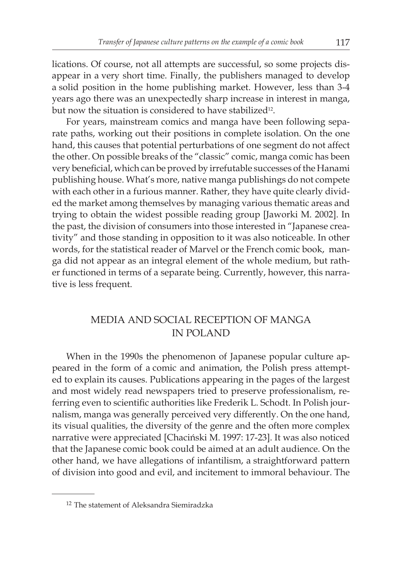lications. Of course, not all attempts are successful, so some projects disappear in a very short time. Finally, the publishers managed to develop a solid position in the home publishing market. However, less than 3-4 years ago there was an unexpectedly sharp increase in interest in manga, but now the situation is considered to have stabilized<sup>12</sup>.

For years, mainstream comics and manga have been following separate paths, working out their positions in complete isolation. On the one hand, this causes that potential perturbations of one segment do not affect the other. On possible breaks of the "classic" comic, manga comic has been very beneficial, which can be proved by irrefutable successes of the Hanami publishing house. What's more, native manga publishings do not compete with each other in a furious manner. Rather, they have quite clearly divided the market among themselves by managing various thematic areas and trying to obtain the widest possible reading group [Jaworki M. 2002]. In the past, the division of consumers into those interested in "Japanese creativity" and those standing in opposition to it was also noticeable. In other words, for the statistical reader of Marvel or the French comic book, manga did not appear as an integral element of the whole medium, but rather functioned in terms of a separate being. Currently, however, this narrative is less frequent.

### Media and social reception of manga in Poland

When in the 1990s the phenomenon of Japanese popular culture appeared in the form of a comic and animation, the Polish press attempted to explain its causes. Publications appearing in the pages of the largest and most widely read newspapers tried to preserve professionalism, referring even to scientific authorities like Frederik L. Schodt. In Polish journalism, manga was generally perceived very differently. On the one hand, its visual qualities, the diversity of the genre and the often more complex narrative were appreciated [Chaciński M. 1997: 17-23]. It was also noticed that the Japanese comic book could be aimed at an adult audience. On the other hand, we have allegations of infantilism, a straightforward pattern of division into good and evil, and incitement to immoral behaviour. The

<sup>12</sup> The statement of Aleksandra Siemiradzka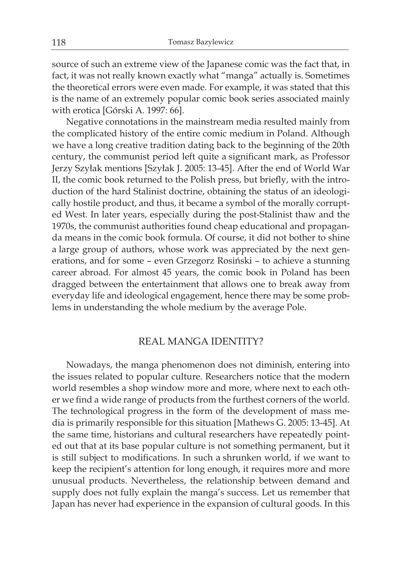source of such an extreme view of the Japanese comic was the fact that, in fact, it was not really known exactly what "manga" actually is. Sometimes the theoretical errors were even made. For example, it was stated that this is the name of an extremely popular comic book series associated mainly with erotica [Górski A. 1997: 66].

Negative connotations in the mainstream media resulted mainly from the complicated history of the entire comic medium in Poland. Although we have a long creative tradition dating back to the beginning of the 20th century, the communist period left quite a significant mark, as Professor Jerzy Szyłak mentions [Szyłak J. 2005: 13-45]. After the end of World War II, the comic book returned to the Polish press, but briefly, with the introduction of the hard Stalinist doctrine, obtaining the status of an ideologically hostile product, and thus, it became a symbol of the morally corrupted West. In later years, especially during the post-Stalinist thaw and the 1970s, the communist authorities found cheap educational and propaganda means in the comic book formula. Of course, it did not bother to shine a large group of authors, whose work was appreciated by the next generations, and for some – even Grzegorz Rosiński – to achieve a stunning career abroad. For almost 45 years, the comic book in Poland has been dragged between the entertainment that allows one to break away from everyday life and ideological engagement, hence there may be some problems in understanding the whole medium by the average Pole.

#### Real manga identity?

Nowadays, the manga phenomenon does not diminish, entering into the issues related to popular culture. Researchers notice that the modern world resembles a shop window more and more, where next to each other we find a wide range of products from the furthest corners of the world. The technological progress in the form of the development of mass media is primarily responsible for this situation [Mathews G. 2005: 13-45]. At the same time, historians and cultural researchers have repeatedly pointed out that at its base popular culture is not something permanent, but it is still subject to modifications. In such a shrunken world, if we want to keep the recipient's attention for long enough, it requires more and more unusual products. Nevertheless, the relationship between demand and supply does not fully explain the manga's success. Let us remember that Japan has never had experience in the expansion of cultural goods. In this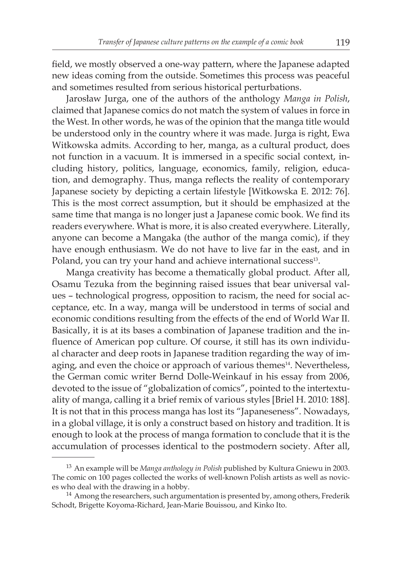field, we mostly observed a one-way pattern, where the Japanese adapted new ideas coming from the outside. Sometimes this process was peaceful and sometimes resulted from serious historical perturbations.

Jarosław Jurga, one of the authors of the anthology *Manga in Polish*, claimed that Japanese comics do not match the system of values in force in the West. In other words, he was of the opinion that the manga title would be understood only in the country where it was made. Jurga is right, Ewa Witkowska admits. According to her, manga, as a cultural product, does not function in a vacuum. It is immersed in a specific social context, including history, politics, language, economics, family, religion, education, and demography. Thus, manga reflects the reality of contemporary Japanese society by depicting a certain lifestyle [Witkowska E. 2012: 76]. This is the most correct assumption, but it should be emphasized at the same time that manga is no longer just a Japanese comic book. We find its readers everywhere. What is more, it is also created everywhere. Literally, anyone can become a Mangaka (the author of the manga comic), if they have enough enthusiasm. We do not have to live far in the east, and in Poland, you can try your hand and achieve international success<sup>13</sup>.

Manga creativity has become a thematically global product. After all, Osamu Tezuka from the beginning raised issues that bear universal values – technological progress, opposition to racism, the need for social acceptance, etc. In a way, manga will be understood in terms of social and economic conditions resulting from the effects of the end of World War II. Basically, it is at its bases a combination of Japanese tradition and the influence of American pop culture. Of course, it still has its own individual character and deep roots in Japanese tradition regarding the way of imaging, and even the choice or approach of various themes<sup>14</sup>. Nevertheless, the German comic writer Bernd Dolle-Weinkauf in his essay from 2006, devoted to the issue of "globalization of comics", pointed to the intertextuality of manga, calling it a brief remix of various styles [Briel H. 2010: 188]. It is not that in this process manga has lost its "Japaneseness". Nowadays, in a global village, it is only a construct based on history and tradition. It is enough to look at the process of manga formation to conclude that it is the accumulation of processes identical to the postmodern society. After all,

<sup>13</sup> An example will be *Manga anthology in Polish* published by Kultura Gniewu in 2003. The comic on 100 pages collected the works of well-known Polish artists as well as novices who deal with the drawing in a hobby.

 $14$  Among the researchers, such argumentation is presented by, among others, Frederik Schodt, Brigette Koyoma-Richard, Jean-Marie Bouissou, and Kinko Ito.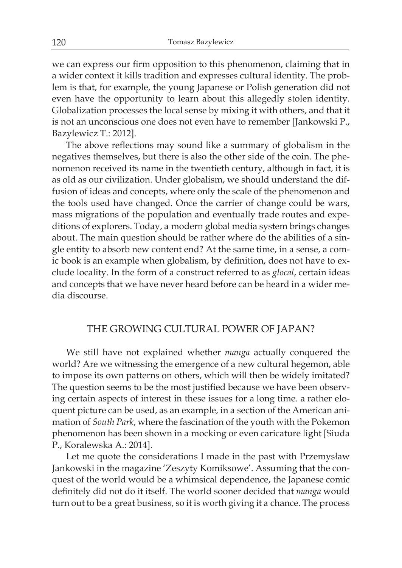we can express our firm opposition to this phenomenon, claiming that in a wider context it kills tradition and expresses cultural identity. The problem is that, for example, the young Japanese or Polish generation did not even have the opportunity to learn about this allegedly stolen identity. Globalization processes the local sense by mixing it with others, and that it is not an unconscious one does not even have to remember [Jankowski P., Bazylewicz T.: 2012].

The above reflections may sound like a summary of globalism in the negatives themselves, but there is also the other side of the coin. The phenomenon received its name in the twentieth century, although in fact, it is as old as our civilization. Under globalism, we should understand the diffusion of ideas and concepts, where only the scale of the phenomenon and the tools used have changed. Once the carrier of change could be wars, mass migrations of the population and eventually trade routes and expeditions of explorers. Today, a modern global media system brings changes about. The main question should be rather where do the abilities of a single entity to absorb new content end? At the same time, in a sense, a comic book is an example when globalism, by definition, does not have to exclude locality. In the form of a construct referred to as *glocal*, certain ideas and concepts that we have never heard before can be heard in a wider media discourse.

#### The growing cultural power of Japan?

We still have not explained whether *manga* actually conquered the world? Are we witnessing the emergence of a new cultural hegemon, able to impose its own patterns on others, which will then be widely imitated? The question seems to be the most justified because we have been observing certain aspects of interest in these issues for a long time. a rather eloquent picture can be used, as an example, in a section of the American animation of *South Park*, where the fascination of the youth with the Pokemon phenomenon has been shown in a mocking or even caricature light [Siuda P., Koralewska A.: 2014].

Let me quote the considerations I made in the past with Przemysław Jankowski in the magazine 'Zeszyty Komiksowe'. Assuming that the conquest of the world would be a whimsical dependence, the Japanese comic definitely did not do it itself. The world sooner decided that *manga* would turn out to be a great business, so it is worth giving it a chance. The process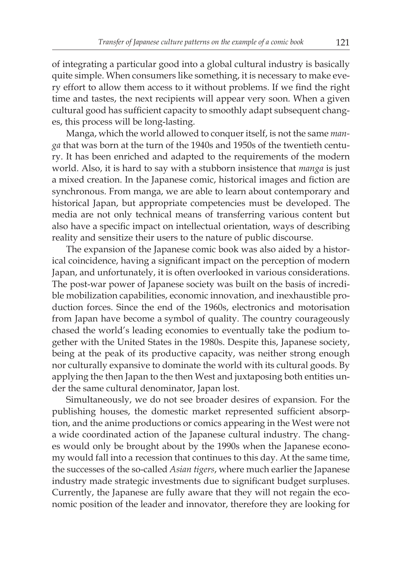of integrating a particular good into a global cultural industry is basically quite simple. When consumers like something, it is necessary to make every effort to allow them access to it without problems. If we find the right time and tastes, the next recipients will appear very soon. When a given cultural good has sufficient capacity to smoothly adapt subsequent changes, this process will be long-lasting.

Manga, which the world allowed to conquer itself, is not the same *manga* that was born at the turn of the 1940s and 1950s of the twentieth century. It has been enriched and adapted to the requirements of the modern world. Also, it is hard to say with a stubborn insistence that *manga* is just a mixed creation. In the Japanese comic, historical images and fiction are synchronous. From manga, we are able to learn about contemporary and historical Japan, but appropriate competencies must be developed. The media are not only technical means of transferring various content but also have a specific impact on intellectual orientation, ways of describing reality and sensitize their users to the nature of public discourse.

The expansion of the Japanese comic book was also aided by a historical coincidence, having a significant impact on the perception of modern Japan, and unfortunately, it is often overlooked in various considerations. The post-war power of Japanese society was built on the basis of incredible mobilization capabilities, economic innovation, and inexhaustible production forces. Since the end of the 1960s, electronics and motorisation from Japan have become a symbol of quality. The country courageously chased the world's leading economies to eventually take the podium together with the United States in the 1980s. Despite this, Japanese society, being at the peak of its productive capacity, was neither strong enough nor culturally expansive to dominate the world with its cultural goods. By applying the then Japan to the then West and juxtaposing both entities under the same cultural denominator, Japan lost.

Simultaneously, we do not see broader desires of expansion. For the publishing houses, the domestic market represented sufficient absorption, and the anime productions or comics appearing in the West were not a wide coordinated action of the Japanese cultural industry. The changes would only be brought about by the 1990s when the Japanese economy would fall into a recession that continues to this day. At the same time, the successes of the so-called *Asian tigers*, where much earlier the Japanese industry made strategic investments due to significant budget surpluses. Currently, the Japanese are fully aware that they will not regain the economic position of the leader and innovator, therefore they are looking for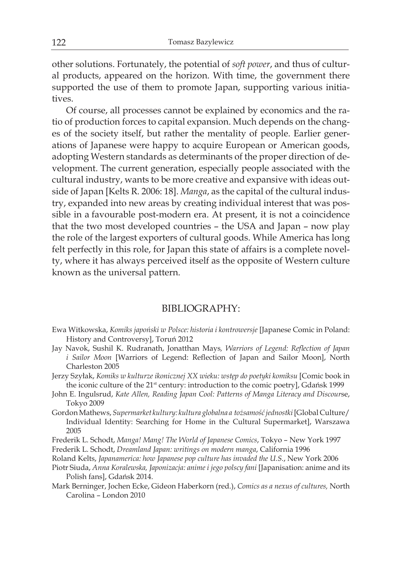other solutions. Fortunately, the potential of *soft power*, and thus of cultural products, appeared on the horizon. With time, the government there supported the use of them to promote Japan, supporting various initiatives.

Of course, all processes cannot be explained by economics and the ratio of production forces to capital expansion. Much depends on the changes of the society itself, but rather the mentality of people. Earlier generations of Japanese were happy to acquire European or American goods, adopting Western standards as determinants of the proper direction of development. The current generation, especially people associated with the cultural industry, wants to be more creative and expansive with ideas outside of Japan [Kelts R. 2006: 18]. *Manga*, as the capital of the cultural industry, expanded into new areas by creating individual interest that was possible in a favourable post-modern era. At present, it is not a coincidence that the two most developed countries – the USA and Japan – now play the role of the largest exporters of cultural goods. While America has long felt perfectly in this role, for Japan this state of affairs is a complete novelty, where it has always perceived itself as the opposite of Western culture known as the universal pattern.

#### BIBLIOGRAPHY:

- Ewa Witkowska, *Komiks japoński w Polsce: historia i kontrowersje* [Japanese Comic in Poland: History and Controversy], Toruń 2012
- Jay Navok, Sushil K. Rudranath, Jonatthan Mays*, Warriors of Legend: Reflection of Japan i Sailor Moon* [Warriors of Legend: Reflection of Japan and Sailor Moon], North Charleston 2005
- Jerzy Szyłak, *Komiks w kulturze ikonicznej XX wieku: wstęp do poetyki komiksu* [Comic book in the iconic culture of the 21st century: introduction to the comic poetry], Gdańsk 1999
- John E. Ingulsrud, *Kate Allen, Reading Japan Cool: Patterns of Manga Literacy and Discour*se, Tokyo 2009
- Gordon Mathews, *Supermarket kultury: kultura globalna a tożsamość jednostki* [Global Culture/ Individual Identity: Searching for Home in the Cultural Supermarket], Warszawa 2005
- Frederik L. Schodt, *Manga! Mang! The World of Japanese Comics*, Tokyo New York 1997
- Frederik L. Schodt, *Dreamland Japan: writings on modern manga*, California 1996
- Roland Kelts, *Japanamerica: how Japanese pop culture has invaded the U.S.*, New York 2006
- Piotr Siuda, *Anna Koralewska, Japonizacja: anime i jego polscy fani* [Japanisation: anime and its Polish fans], Gdańsk 2014.
- Mark Berninger, Jochen Ecke, Gideon Haberkorn (red.), *Comics as a nexus of cultures,* North Carolina – London 2010